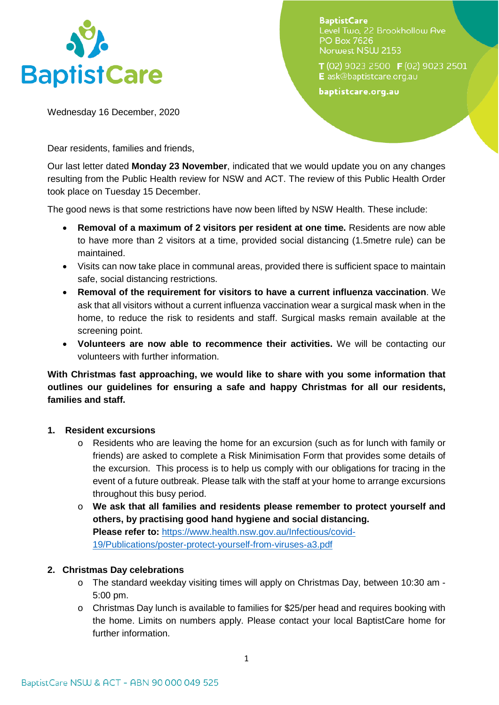

**BaptistCare** Level Two. 22 Brookhollow Ave **PO Box 7626** Norwest NSW 2153

T(02) 9023 2500 F(02) 9023 2501 E ask@baptistcare.org.au

baptistcare.org.au

Wednesday 16 December, 2020

Dear residents, families and friends,

Our last letter dated **Monday 23 November**, indicated that we would update you on any changes resulting from the Public Health review for NSW and ACT. The review of this Public Health Order took place on Tuesday 15 December.

The good news is that some restrictions have now been lifted by NSW Health. These include:

- **Removal of a maximum of 2 visitors per resident at one time.** Residents are now able to have more than 2 visitors at a time, provided social distancing (1.5metre rule) can be maintained.
- Visits can now take place in communal areas, provided there is sufficient space to maintain safe, social distancing restrictions.
- **Removal of the requirement for visitors to have a current influenza vaccination**. We ask that all visitors without a current influenza vaccination wear a surgical mask when in the home, to reduce the risk to residents and staff. Surgical masks remain available at the screening point.
- **Volunteers are now able to recommence their activities.** We will be contacting our volunteers with further information.

**With Christmas fast approaching, we would like to share with you some information that outlines our guidelines for ensuring a safe and happy Christmas for all our residents, families and staff.** 

## **1. Resident excursions**

- o Residents who are leaving the home for an excursion (such as for lunch with family or friends) are asked to complete a Risk Minimisation Form that provides some details of the excursion. This process is to help us comply with our obligations for tracing in the event of a future outbreak. Please talk with the staff at your home to arrange excursions throughout this busy period.
- o **We ask that all families and residents please remember to protect yourself and others, by practising good hand hygiene and social distancing. Please refer to:** [https://www.health.nsw.gov.au/Infectious/covid-](https://www.health.nsw.gov.au/Infectious/covid-19/Publications/poster-protect-yourself-from-viruses-a3.pdf)[19/Publications/poster-protect-yourself-from-viruses-a3.pdf](https://www.health.nsw.gov.au/Infectious/covid-19/Publications/poster-protect-yourself-from-viruses-a3.pdf)

## **2. Christmas Day celebrations**

- o The standard weekday visiting times will apply on Christmas Day, between 10:30 am 5:00 pm.
- o Christmas Day lunch is available to families for \$25/per head and requires booking with the home. Limits on numbers apply. Please contact your local BaptistCare home for further information.